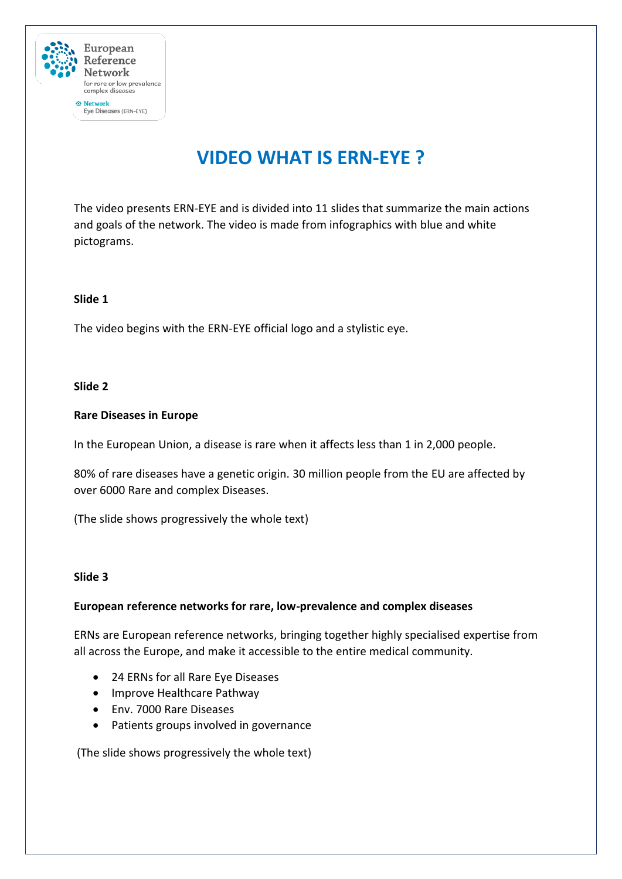

# **VIDEO WHAT IS ERN-EYE ?**

The video presents ERN-EYE and is divided into 11 slides that summarize the main actions and goals of the network. The video is made from infographics with blue and white pictograms.

## **Slide 1**

The video begins with the ERN-EYE official logo and a stylistic eye.

## **Slide 2**

## **Rare Diseases in Europe**

In the European Union, a disease is rare when it affects less than 1 in 2,000 people.

80% of rare diseases have a genetic origin. 30 million people from the EU are affected by over 6000 Rare and complex Diseases.

(The slide shows progressively the whole text)

#### **Slide 3**

## **European reference networks for rare, low-prevalence and complex diseases**

ERNs are European reference networks, bringing together highly specialised expertise from all across the Europe, and make it accessible to the entire medical community.

- 24 ERNs for all Rare Eye Diseases
- Improve Healthcare Pathway
- Env. 7000 Rare Diseases
- Patients groups involved in governance

(The slide shows progressively the whole text)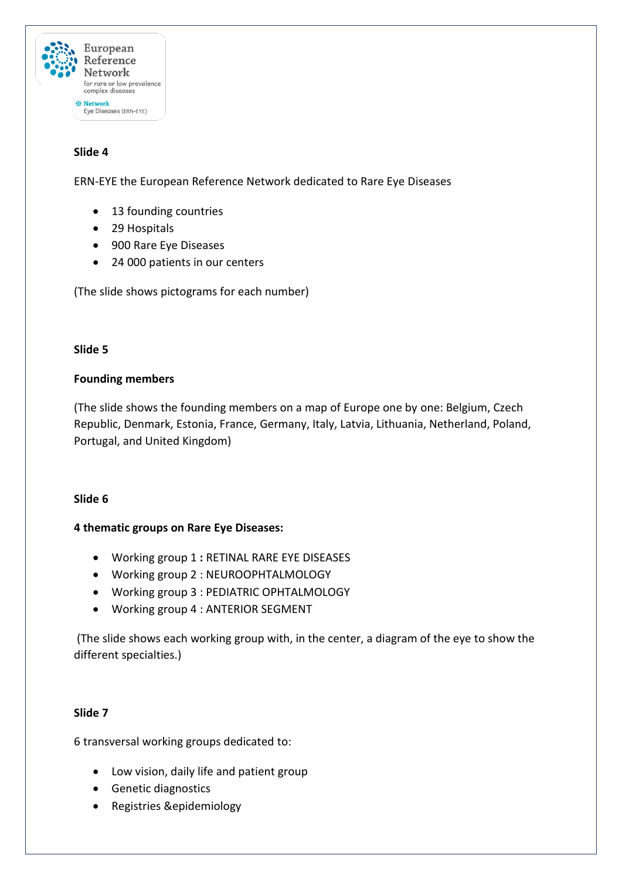

# **Slide 4**

ERN-EYE the European Reference Network dedicated to Rare Eye Diseases

- 13 founding countries
- 29 Hospitals
- 900 Rare Eye Diseases
- 24 000 patients in our centers

(The slide shows pictograms for each number)

## **Slide 5**

## **Founding members**

(The slide shows the founding members on a map of Europe one by one: Belgium, Czech Republic, Denmark, Estonia, France, Germany, Italy, Latvia, Lithuania, Netherland, Poland, Portugal, and United Kingdom)

## **Slide 6**

## **4 thematic groups on Rare Eye Diseases:**

- Working group 1 **:** RETINAL RARE EYE DISEASES
- Working group 2 : NEUROOPHTALMOLOGY
- Working group 3 : PEDIATRIC OPHTALMOLOGY
- Working group 4 : ANTERIOR SEGMENT

(The slide shows each working group with, in the center, a diagram of the eye to show the different specialties.)

## **Slide 7**

6 transversal working groups dedicated to:

- Low vision, daily life and patient group
- Genetic diagnostics
- Registries &epidemiology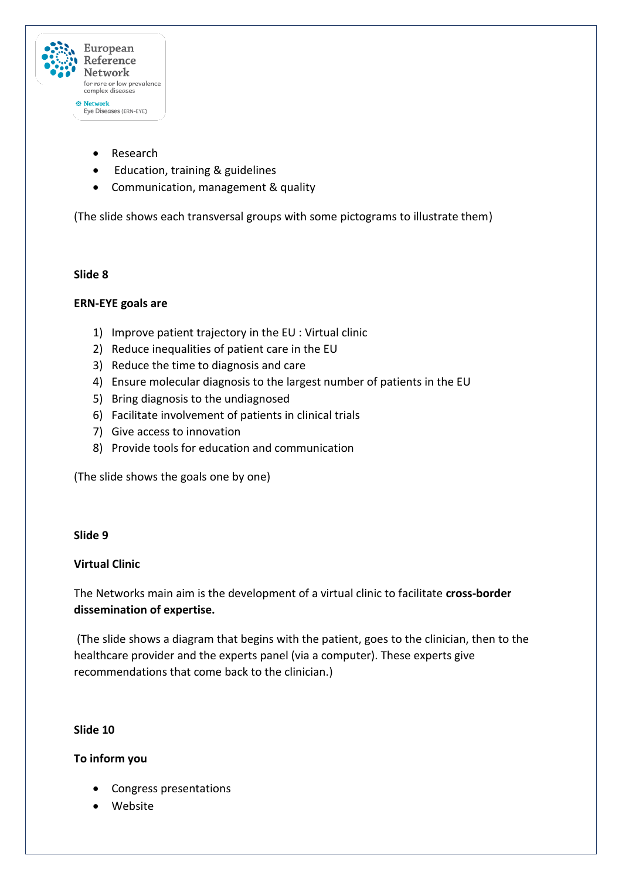

- Research
- Education, training & guidelines
- Communication, management & quality

(The slide shows each transversal groups with some pictograms to illustrate them)

#### **Slide 8**

#### **ERN-EYE goals are**

- 1) Improve patient trajectory in the EU : Virtual clinic
- 2) Reduce inequalities of patient care in the EU
- 3) Reduce the time to diagnosis and care
- 4) Ensure molecular diagnosis to the largest number of patients in the EU
- 5) Bring diagnosis to the undiagnosed
- 6) Facilitate involvement of patients in clinical trials
- 7) Give access to innovation
- 8) Provide tools for education and communication

(The slide shows the goals one by one)

#### **Slide 9**

## **Virtual Clinic**

The Networks main aim is the development of a virtual clinic to facilitate **cross-border dissemination of expertise.**

(The slide shows a diagram that begins with the patient, goes to the clinician, then to the healthcare provider and the experts panel (via a computer). These experts give recommendations that come back to the clinician.)

#### **Slide 10**

## **To inform you**

- Congress presentations
- Website